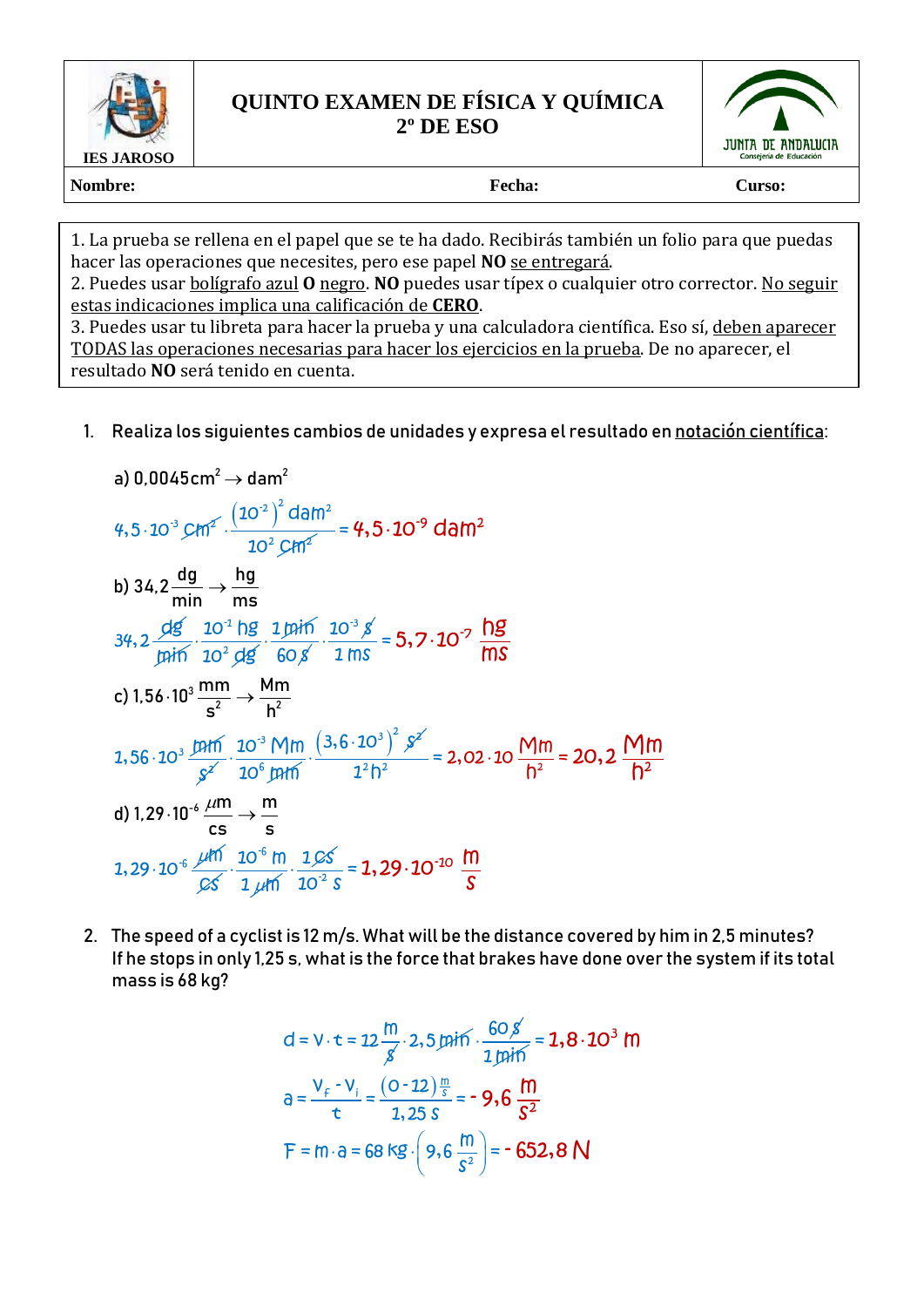

## **QUINTO EXAMEN DE FÍSICA Y QUÍMICA 2º DE ESO**



Nombre: Curso: **Fecha:** Curso: **Curso: Curso:** 

1. La prueba se rellena en el papel que se te ha dado. Recibirás también un folio para que puedas hacer las operaciones que necesites, pero ese papel **NO** se entregará.

2. Puedes usar bolígrafo azul **O** negro. **NO** puedes usar típex o cualquier otro corrector. No seguir estas indicaciones implica una calificación de **CERO**.

3. Puedes usar tu libreta para hacer la prueba y una calculadora científica. Eso sí, deben aparecer TODAS las operaciones necesarias para hacer los ejercicios en la prueba. De no aparecer, el resultado **NO** será tenido en cuenta.

1. Realiza los siguientes cambios de unidades y expresa el resultado en notación científica:

a) 0,0045cm<sup>2</sup> 
$$
\rightarrow
$$
 dam<sup>2</sup>  
\n4,5 · 10<sup>-3</sup>  $\text{CH1}^{2}$   $\cdot$   $\frac{(10^{-2})^{2} \text{ dam}^{2}}{10^{2} \text{CH1}^{2}} = 4,5 \cdot 10^{-9} \text{ dam}^{2}$   
\nb) 34,2  $\frac{dg}{min} \rightarrow \frac{hg}{ms}$   
\n34,2  $\frac{dg}{pi}$   $\cdot$   $\frac{10^{4} hg}{10^{2} dg}$   $\cdot$   $\frac{1\text{m} \cdot \text{m}}{60 \text{ s}} \cdot \frac{10^{3} \text{ s}}{1 \text{ ms}} = 5,7 \cdot 10^{-7} \frac{hg}{ms}$   
\nc) 1,56 · 10<sup>3</sup>  $\frac{mm}{s^{2}} \rightarrow \frac{Mm}{h^{2}}$   
\n1,56 · 10<sup>3</sup>  $\frac{m \cdot m}{s^{2}}$   $\cdot$   $\frac{10^{-3} M \cdot m}{10^{6} m \cdot m} \cdot \frac{(3,6 \cdot 10^{3})^{2} \cdot s^{2}}{1^{2} h^{2}} = 2,02 \cdot 10 \frac{M \cdot m}{h^{2}} = 20,2 \frac{M \cdot m}{h^{2}}$   
\nd) 1,29 · 10<sup>-6</sup>  $\frac{\mu m}{cs} \rightarrow \frac{m}{s}$   
\n1,29 · 10<sup>-6</sup>  $\frac{\mu m}{cs} \rightarrow \frac{m}{s}$   
\n1,29 · 10<sup>-6</sup>  $\frac{\mu m}{cs} \cdot \frac{10^{-6} \cdot m}{10^{2} \cdot 10^{-2} \cdot s} = 1,29 \cdot 10^{-10} \cdot \frac{m}{s}$ 

2. The speed of a cyclist is 12 m/s. What will be the distance covered by him in 2,5 minutes? If he stops in only 1,25 s, what is the force that brakes have done over the system if its total mass is 68 kg?

d = V · t = 12 
$$
\frac{m}{g}
$$
 · 2,5 min'  $\cdot \frac{60 g}{1 mi}$  = 1.8 · 10<sup>3</sup> m  
\n
$$
a = \frac{V_f - V_i}{t} = \frac{(0.12) \frac{m}{s}}{1.25 s} = -9.6 \frac{m}{s^2}
$$
\nF = m · a = 68 kg ·  $\left(9.6 \frac{m}{s^2}\right)$  = -652.8 N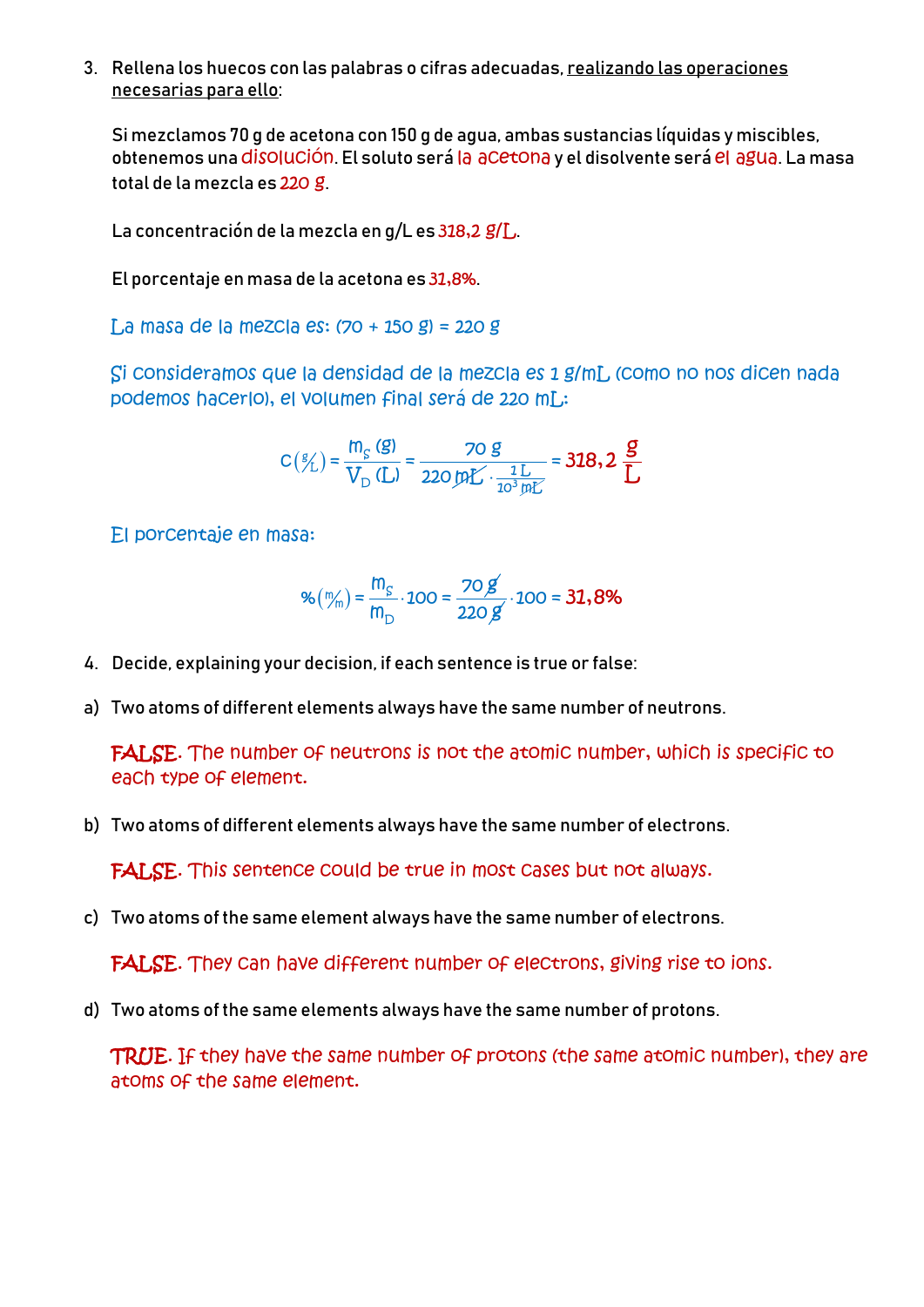3. Rellena los huecos con las palabras o cifras adecuadas, realizando las operaciones necesarias para ello:

Si mezclamos 70 g de acetona con 150 g de agua, ambas sustancias líquidas y miscibles, obtenemos una disolución. El soluto será la acetona y el disolvente será el agua. La masa total de la mezcla es 220 g.

La concentración de la mezcla en g/L es 318,2 g/L.

El porcentaje en masa de la acetona es 31,8%.

La masa de la mezcla es: (70 + 150 g) = 220 g

Si consideramos que la densidad de la mezcla es 1 g/mL (como no nos dicen nada podemos hacerlo), el volumen final será de 220 mL:

$$
C(\mathscr{G}_{L}) = \frac{m_{S}(\mathcal{G})}{V_{D}(L)} = \frac{70 \text{ g}}{220 \text{ mL} \cdot \frac{1 \text{ L}}{10^{3} \text{ mL}}} = 318.2 \frac{\mathcal{G}}{L}
$$

El porcentaje en masa:

$$
\%(\frac{m}{m}) = \frac{m_{\rm S}}{m_{\rm D}} \cdot 100 = \frac{70 \cancel{g}}{220 \cancel{g}} \cdot 100 = 31,8\%
$$

- 4. Decide, explaining your decision, if each sentence is true or false:
- a) Two atoms of different elements always have the same number of neutrons.

FALSE. The number of neutrons is not the atomic number, which is specific to each type of element.

b) Two atoms of different elements always have the same number of electrons.

FALSE. This sentence could be true in most cases but not always.

c) Two atoms of the same element always have the same number of electrons.

FALSE. They can have different number of electrons, giving rise to ions.

d) Two atoms of the same elements always have the same number of protons.

TRUE. If they have the same number of protons (the same atomic number), they are atoms of the same element.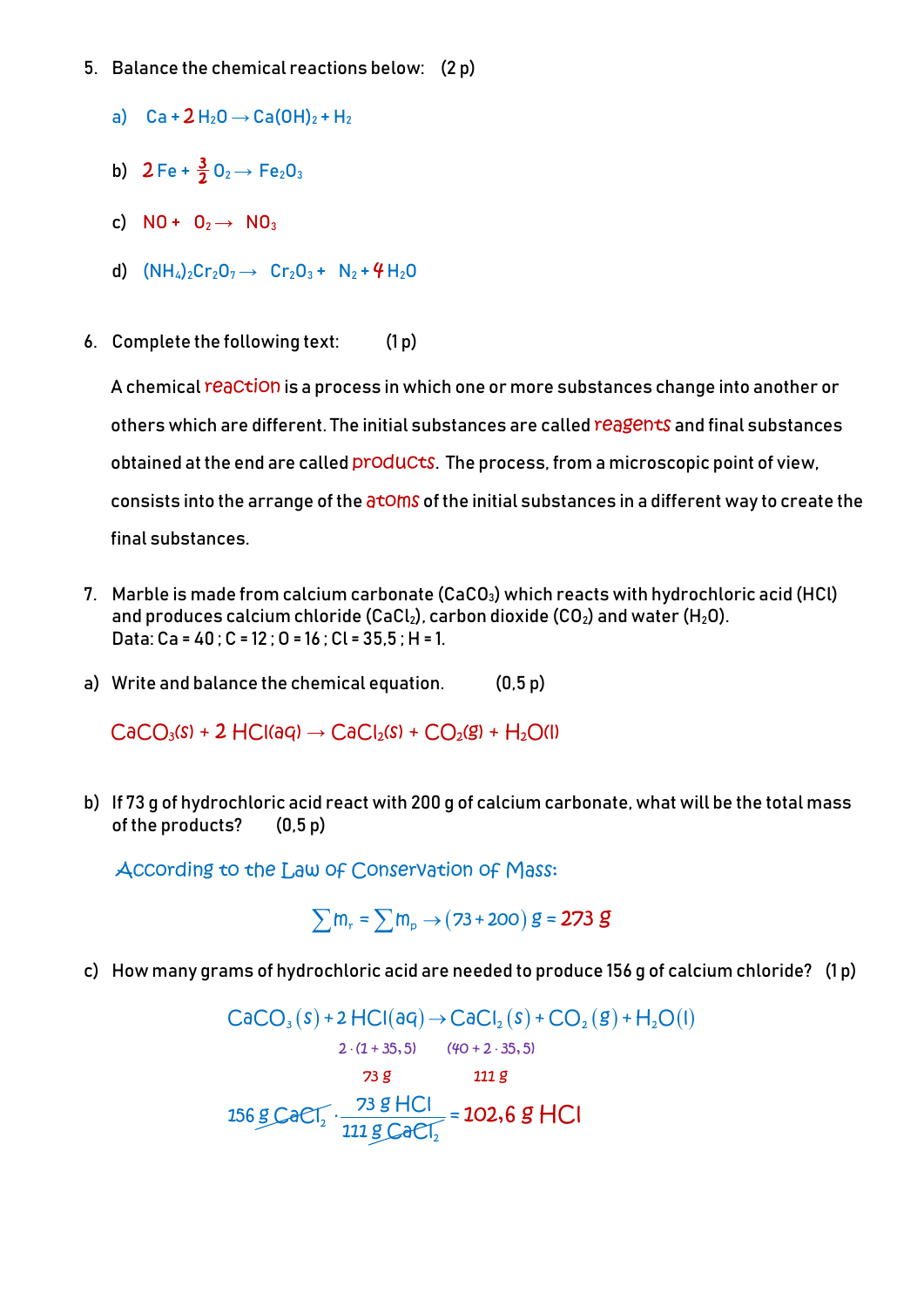- 5. Balance the chemical reactions below: (2 p)
	- a)  $Ca + 2H_2O \rightarrow Ca(OH)_2 + H_2$
	- b)  $2 \text{Fe} + \frac{3}{2} \text{O}_2 \rightarrow \text{Fe}_2\text{O}_3$
	- c)  $NO + O<sub>2</sub> \rightarrow NO<sub>3</sub>$
	- d)  $(NH_4)_2Cr_2O_7 \rightarrow Cr_2O_3 + N_2 + 4H_2O$
- 6. Complete the following text: (1 p)

A chemical reaction is a process in which one or more substances change into another or others which are different. The initial substances are called reagents and final substances obtained at the end are called **products**. The process, from a microscopic point of view, consists into the arrange of the atoms of the initial substances in a different way to create the final substances.

- 7. Marble is made from calcium carbonate (CaCO $_3$ ) which reacts with hydrochloric acid (HCl) and produces calcium chloride (CaCl<sub>2</sub>), carbon dioxide (CO<sub>2</sub>) and water (H<sub>2</sub>O). Data: Ca = 40 ; C = 12 ; O = 16 ; Cl = 35,5 ; H = 1.
- a) Write and balance the chemical equation. (0,5 p)

 $CaCO<sub>3</sub>(s) + 2$  HCl(aq)  $\rightarrow CaCl<sub>2</sub>(s) + CO<sub>2</sub>(g) + H<sub>2</sub>O(l)$ 

b) If 73 g of hydrochloric acid react with 200 g of calcium carbonate, what will be the total mass of the products? (0,5 p)

According to the Law of Conservation of Mass:

 $\sum m_r = \sum m_p \rightarrow (73+200)$  g = 273 g

c) How many grams of hydrochloric acid are needed to produce 156 g of calcium chloride? (1 p)

 $\mathsf{CaCO}_3(\mathsf{s})$  + 2  $\mathsf{HCl}(\mathsf{aq})$   $\rightarrow$   $\mathsf{CaCl}_2(\mathsf{s})$  +  $\mathsf{CO}_2(\mathsf{g})$  +  $\mathsf{H}_2\mathsf{O}(\mathsf{l})$  $2 \cdot (1 + 35, 5)$   $(40 + 2 \cdot 35, 5)$ <br> **73 g 111 g**  $256$   $g$  CaCl<sub>2</sub>. 2  $\frac{73 \text{ g } \text{HCl}}{111 \text{ g } \text{CaCl}_{2}}$  = 102,6 g HCI